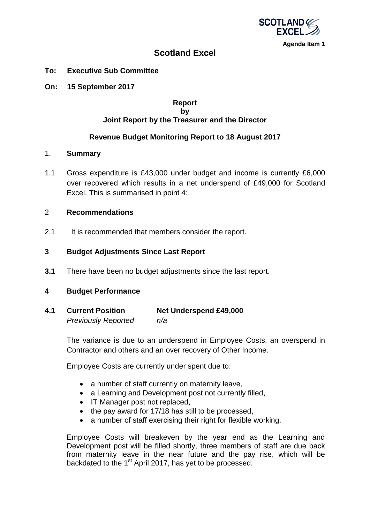

**Agenda Item 1**

# **Scotland Excel**

- **To: Executive Sub Committee**
- **On: 15 September 2017**

#### **Report by Joint Report by the Treasurer and the Director**

# **Revenue Budget Monitoring Report to 18 August 2017**

#### 1. **Summary**

1.1 Gross expenditure is £43,000 under budget and income is currently £6,000 over recovered which results in a net underspend of £49,000 for Scotland Excel. This is summarised in point 4:

## 2 **Recommendations**

2.1 It is recommended that members consider the report.

## **3 Budget Adjustments Since Last Report**

**3.1** There have been no budget adjustments since the last report.

#### **4 Budget Performance**

| 4.1 | <b>Current Position</b>    | <b>Net Underspend £49,000</b> |
|-----|----------------------------|-------------------------------|
|     | <b>Previously Reported</b> | n/a                           |

The variance is due to an underspend in Employee Costs, an overspend in Contractor and others and an over recovery of Other Income.

Employee Costs are currently under spent due to:

- a number of staff currently on maternity leave,
- a Learning and Development post not currently filled,
- IT Manager post not replaced,
- the pay award for 17/18 has still to be processed.
- a number of staff exercising their right for flexible working.

Employee Costs will breakeven by the year end as the Learning and Development post will be filled shortly, three members of staff are due back from maternity leave in the near future and the pay rise, which will be backdated to the 1<sup>st</sup> April 2017, has yet to be processed.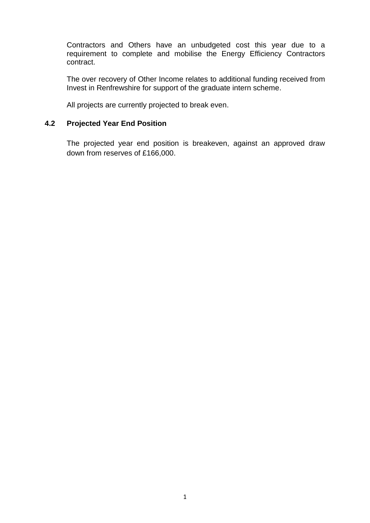Contractors and Others have an unbudgeted cost this year due to a requirement to complete and mobilise the Energy Efficiency Contractors contract.

The over recovery of Other Income relates to additional funding received from Invest in Renfrewshire for support of the graduate intern scheme.

All projects are currently projected to break even.

# **4.2 Projected Year End Position**

The projected year end position is breakeven, against an approved draw down from reserves of £166,000.